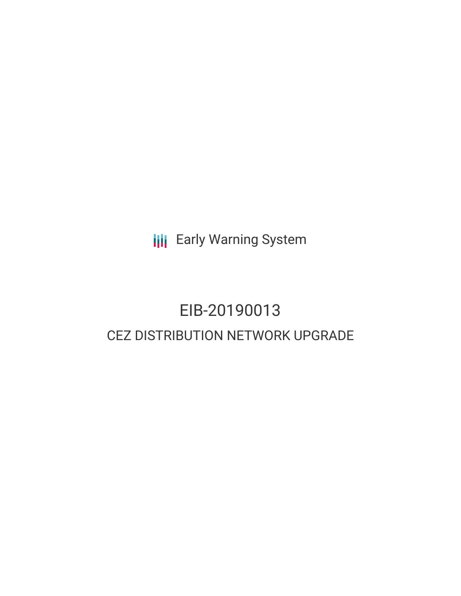**III** Early Warning System

# EIB-20190013 CEZ DISTRIBUTION NETWORK UPGRADE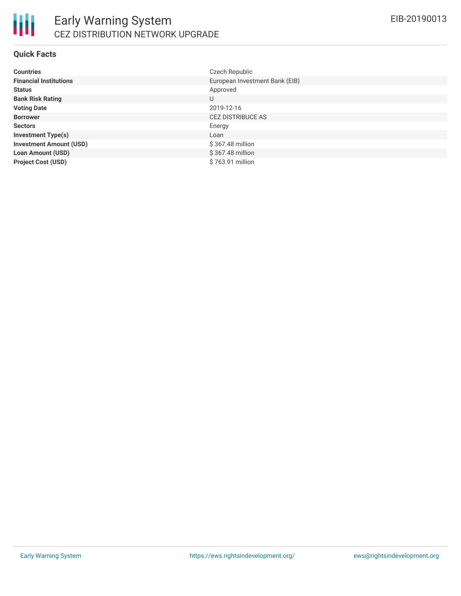

#### **Quick Facts**

| <b>Countries</b>               | Czech Republic                 |
|--------------------------------|--------------------------------|
| <b>Financial Institutions</b>  | European Investment Bank (EIB) |
| <b>Status</b>                  | Approved                       |
| <b>Bank Risk Rating</b>        | U                              |
| <b>Voting Date</b>             | 2019-12-16                     |
| <b>Borrower</b>                | <b>CEZ DISTRIBUCE AS</b>       |
| <b>Sectors</b>                 | Energy                         |
| <b>Investment Type(s)</b>      | Loan                           |
| <b>Investment Amount (USD)</b> | $$367.48$ million              |
| <b>Loan Amount (USD)</b>       | \$367.48 million               |
| <b>Project Cost (USD)</b>      | \$763.91 million               |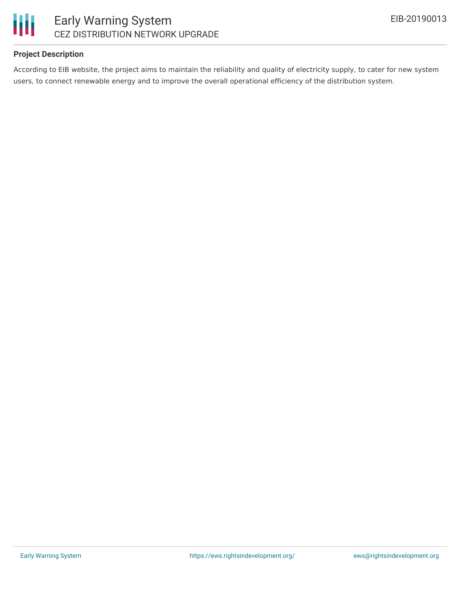



## Early Warning System CEZ DISTRIBUTION NETWORK UPGRADE

#### **Project Description**

According to EIB website, the project aims to maintain the reliability and quality of electricity supply, to cater for new system users, to connect renewable energy and to improve the overall operational efficiency of the distribution system.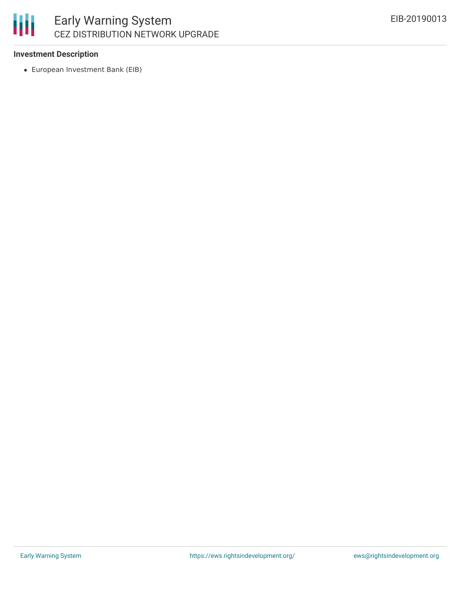## 冊 Early Warning System CEZ DISTRIBUTION NETWORK UPGRADE

#### **Investment Description**

European Investment Bank (EIB)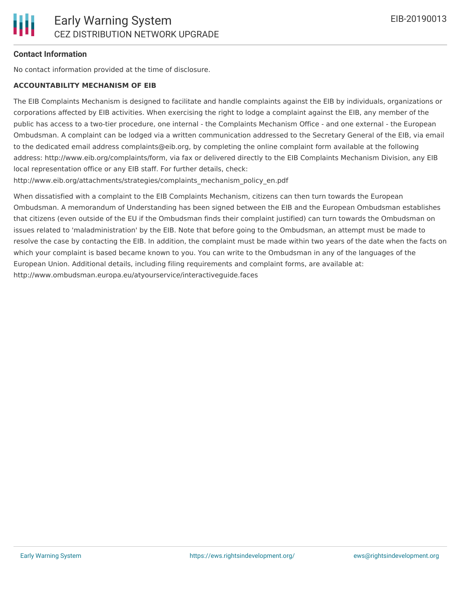## **Contact Information**

No contact information provided at the time of disclosure.

#### **ACCOUNTABILITY MECHANISM OF EIB**

The EIB Complaints Mechanism is designed to facilitate and handle complaints against the EIB by individuals, organizations or corporations affected by EIB activities. When exercising the right to lodge a complaint against the EIB, any member of the public has access to a two-tier procedure, one internal - the Complaints Mechanism Office - and one external - the European Ombudsman. A complaint can be lodged via a written communication addressed to the Secretary General of the EIB, via email to the dedicated email address complaints@eib.org, by completing the online complaint form available at the following address: http://www.eib.org/complaints/form, via fax or delivered directly to the EIB Complaints Mechanism Division, any EIB local representation office or any EIB staff. For further details, check:

http://www.eib.org/attachments/strategies/complaints\_mechanism\_policy\_en.pdf

When dissatisfied with a complaint to the EIB Complaints Mechanism, citizens can then turn towards the European Ombudsman. A memorandum of Understanding has been signed between the EIB and the European Ombudsman establishes that citizens (even outside of the EU if the Ombudsman finds their complaint justified) can turn towards the Ombudsman on issues related to 'maladministration' by the EIB. Note that before going to the Ombudsman, an attempt must be made to resolve the case by contacting the EIB. In addition, the complaint must be made within two years of the date when the facts on which your complaint is based became known to you. You can write to the Ombudsman in any of the languages of the European Union. Additional details, including filing requirements and complaint forms, are available at: http://www.ombudsman.europa.eu/atyourservice/interactiveguide.faces